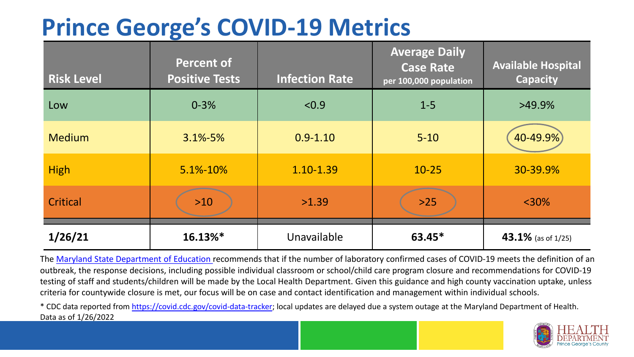## **Prince George's COVID-19 Metrics**

| <b>Risk Level</b> | <b>Percent of</b><br><b>Positive Tests</b> | <b>Infection Rate</b> | <b>Average Daily</b><br><b>Case Rate</b><br>per 100,000 population | <b>Available Hospital</b><br><b>Capacity</b> |
|-------------------|--------------------------------------------|-----------------------|--------------------------------------------------------------------|----------------------------------------------|
| Low               | $0 - 3%$                                   | < 0.9                 | $1 - 5$                                                            | $>49.9\%$                                    |
| <b>Medium</b>     | $3.1\% - 5\%$                              | $0.9 - 1.10$          | $5 - 10$                                                           | 40-49.9%                                     |
| <b>High</b>       | 5.1%-10%                                   | 1.10-1.39             | $10 - 25$                                                          | 30-39.9%                                     |
| Critical          | $>10$                                      | >1.39                 | $>25$                                                              | $<$ 30%                                      |
| 1/26/21           | $16.13\%$ *                                | Unavailable           | $63.45*$                                                           | 43.1% (as of 1/25)                           |

The [Maryland State Department of Education](https://earlychildhood.marylandpublicschools.org/system/files/filedepot/3/covid_guidance_full_080420.pdf) recommends that if the number of laboratory confirmed cases of COVID-19 meets the definition of an outbreak, the response decisions, including possible individual classroom or school/child care program closure and recommendations for COVID-19 testing of staff and students/children will be made by the Local Health Department. Given this guidance and high county vaccination uptake, unless criteria for countywide closure is met, our focus will be on case and contact identification and management within individual schools.

\* CDC data reported from <https://covid.cdc.gov/covid-data-tracker>; local updates are delayed due a system outage at the Maryland Department of Health. Data as of 1/26/2022

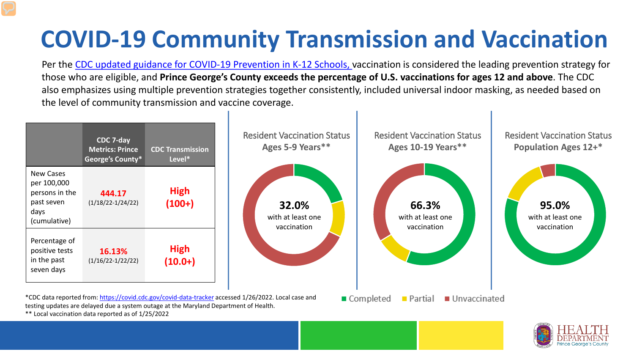## **COVID-19 Community Transmission and Vaccination**

Per the [CDC updated guidance for COVID-19 Prevention in K-12 Schools,](https://www.cdc.gov/coronavirus/2019-ncov/community/schools-childcare/k-12-guidance.html) vaccination is considered the leading prevention strategy for those who are eligible, and **Prince George's County exceeds the percentage of U.S. vaccinations for ages 12 and above**. The CDC also emphasizes using multiple prevention strategies together consistently, included universal indoor masking, as needed based on the level of community transmission and vaccine coverage.





\*\* Local vaccination data reported as of 1/25/2022